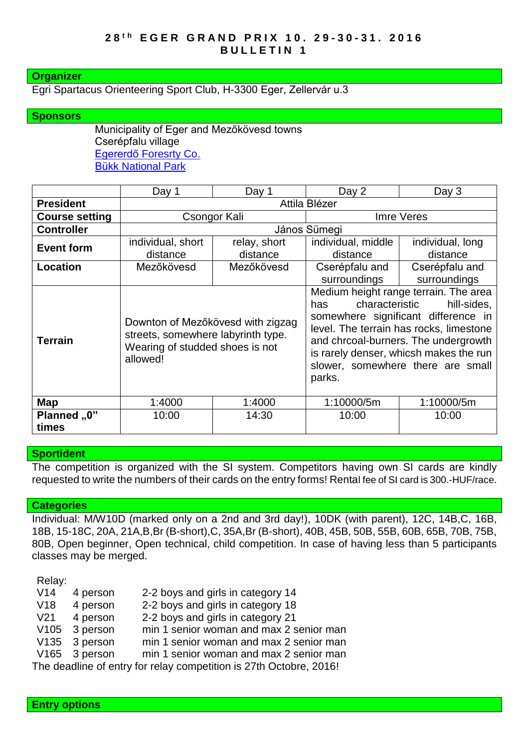### **Organizer**

Egri Spartacus Orienteering Sport Club, H-3300 Eger, Zellervár u.3

### **Sponsors**

Municipality of Eger and Mezőkövesd towns Cserépfalu village [Egererdő Foresrty Co.](http://client4.springmedia.hu/) Bükk [National](http://en.bnpi.hu/) Park

|                       | Day 1                                                                                                                  | Day 1                    | Day 2                                                                                                                                                                                                                                                                                            | Day 3                          |  |
|-----------------------|------------------------------------------------------------------------------------------------------------------------|--------------------------|--------------------------------------------------------------------------------------------------------------------------------------------------------------------------------------------------------------------------------------------------------------------------------------------------|--------------------------------|--|
| <b>President</b>      | Attila Blézer                                                                                                          |                          |                                                                                                                                                                                                                                                                                                  |                                |  |
| <b>Course setting</b> |                                                                                                                        | Csongor Kali             | Imre Veres                                                                                                                                                                                                                                                                                       |                                |  |
| <b>Controller</b>     | János Sümegi                                                                                                           |                          |                                                                                                                                                                                                                                                                                                  |                                |  |
| <b>Event form</b>     | individual, short<br>distance                                                                                          | relay, short<br>distance | individual, middle<br>distance                                                                                                                                                                                                                                                                   | individual, long<br>distance   |  |
| <b>Location</b>       | Mezőkövesd                                                                                                             | Mezőkövesd               | Cserépfalu and<br>surroundings                                                                                                                                                                                                                                                                   | Cserépfalu and<br>surroundings |  |
| <b>Terrain</b>        | Downton of Mezőkövesd with zigzag<br>streets, somewhere labyrinth type.<br>Wearing of studded shoes is not<br>allowed! |                          | Medium height range terrain. The area<br>hill-sides,<br>characteristic<br>has<br>somewhere significant difference in<br>level. The terrain has rocks, limestone<br>and chrcoal-burners. The undergrowth<br>is rarely denser, whicsh makes the run<br>slower, somewhere there are small<br>parks. |                                |  |
| Map                   | 1:4000                                                                                                                 | 1:4000                   | 1:10000/5m                                                                                                                                                                                                                                                                                       | 1:10000/5m                     |  |
| Planned "0"<br>times  | 10:00                                                                                                                  | 14:30                    | 10:00                                                                                                                                                                                                                                                                                            | 10:00                          |  |

### **Sportident**

The competition is organized with the SI system. Competitors having own SI cards are kindly requested to write the numbers of their cards on the entry forms! Rental fee of SI card is 300.-HUF/race.

#### **Categories**

Individual: M/W10D (marked only on a 2nd and 3rd day!), 10DK (with parent), 12C, 14B,C, 16B, 18B, 15-18C, 20A, 21A,B,Br (B-short),C, 35A,Br (B-short), 40B, 45B, 50B, 55B, 60B, 65B, 70B, 75B, 80B, Open beginner, Open technical, child competition. In case of having less than 5 participants classes may be merged.

Relay:

| V14<br>2-2 boys and girls in category 14<br>4 person                    |  |  |  |  |  |  |
|-------------------------------------------------------------------------|--|--|--|--|--|--|
| 4 person<br>V18<br>2-2 boys and girls in category 18                    |  |  |  |  |  |  |
| V <sub>21</sub><br>2-2 boys and girls in category 21<br>4 person        |  |  |  |  |  |  |
| V <sub>105</sub><br>3 person<br>min 1 senior woman and max 2 senior man |  |  |  |  |  |  |
| V135 3 person<br>min 1 senior woman and max 2 senior man                |  |  |  |  |  |  |
| V165 3 person<br>min 1 senior woman and max 2 senior man                |  |  |  |  |  |  |
| The deadline of entry for relay competition is 27th Octobre, 2016!      |  |  |  |  |  |  |